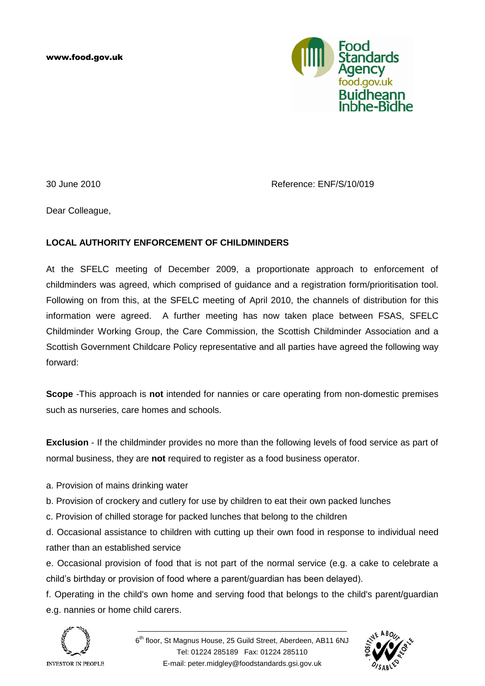www.food.gov.uk



30 June 2010 Reference: ENF/S/10/019

Dear Colleague,

# **LOCAL AUTHORITY ENFORCEMENT OF CHILDMINDERS**

At the SFELC meeting of December 2009, a proportionate approach to enforcement of childminders was agreed, which comprised of guidance and a registration form/prioritisation tool. Following on from this, at the SFELC meeting of April 2010, the channels of distribution for this information were agreed. A further meeting has now taken place between FSAS, SFELC Childminder Working Group, the Care Commission, the Scottish Childminder Association and a Scottish Government Childcare Policy representative and all parties have agreed the following way forward:

**Scope** -This approach is **not** intended for nannies or care operating from non-domestic premises such as nurseries, care homes and schools.

**Exclusion** - If the childminder provides no more than the following levels of food service as part of normal business, they are **not** required to register as a food business operator.

- a. Provision of mains drinking water
- b. Provision of crockery and cutlery for use by children to eat their own packed lunches
- c. Provision of chilled storage for packed lunches that belong to the children

d. Occasional assistance to children with cutting up their own food in response to individual need rather than an established service

e. Occasional provision of food that is not part of the normal service (e.g. a cake to celebrate a child"s birthday or provision of food where a parent/guardian has been delayed).

f. Operating in the child's own home and serving food that belongs to the child's parent/guardian e.g. nannies or home child carers.



\_\_\_\_\_\_\_\_\_\_\_\_\_\_\_\_\_\_\_\_\_\_\_\_\_\_\_\_\_\_\_\_\_\_\_\_\_\_\_\_\_\_\_\_\_\_\_\_\_\_\_

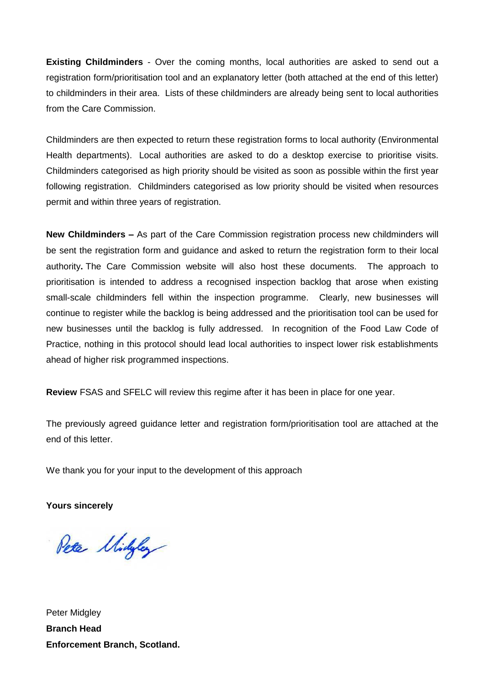**Existing Childminders** - Over the coming months, local authorities are asked to send out a registration form/prioritisation tool and an explanatory letter (both attached at the end of this letter) to childminders in their area. Lists of these childminders are already being sent to local authorities from the Care Commission.

Childminders are then expected to return these registration forms to local authority (Environmental Health departments). Local authorities are asked to do a desktop exercise to prioritise visits. Childminders categorised as high priority should be visited as soon as possible within the first year following registration. Childminders categorised as low priority should be visited when resources permit and within three years of registration.

**New Childminders –** As part of the Care Commission registration process new childminders will be sent the registration form and guidance and asked to return the registration form to their local authority**.** The Care Commission website will also host these documents. The approach to prioritisation is intended to address a recognised inspection backlog that arose when existing small-scale childminders fell within the inspection programme. Clearly, new businesses will continue to register while the backlog is being addressed and the prioritisation tool can be used for new businesses until the backlog is fully addressed. In recognition of the Food Law Code of Practice, nothing in this protocol should lead local authorities to inspect lower risk establishments ahead of higher risk programmed inspections.

**Review** FSAS and SFELC will review this regime after it has been in place for one year.

The previously agreed guidance letter and registration form/prioritisation tool are attached at the end of this letter.

We thank you for your input to the development of this approach

**Yours sincerely**

Peter Midyley

Peter Midgley **Branch Head Enforcement Branch, Scotland.**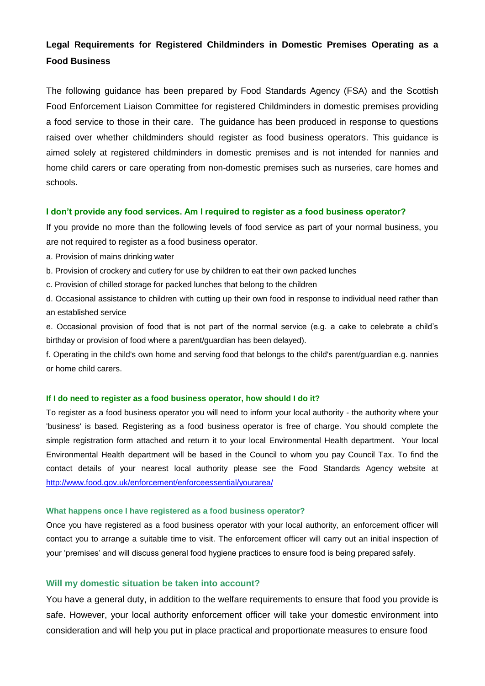# **Legal Requirements for Registered Childminders in Domestic Premises Operating as a Food Business**

The following guidance has been prepared by Food Standards Agency (FSA) and the Scottish Food Enforcement Liaison Committee for registered Childminders in domestic premises providing a food service to those in their care. The guidance has been produced in response to questions raised over whether childminders should register as food business operators. This guidance is aimed solely at registered childminders in domestic premises and is not intended for nannies and home child carers or care operating from non-domestic premises such as nurseries, care homes and schools.

#### **I don't provide any food services. Am I required to register as a food business operator?**

If you provide no more than the following levels of food service as part of your normal business, you are not required to register as a food business operator.

- a. Provision of mains drinking water
- b. Provision of crockery and cutlery for use by children to eat their own packed lunches
- c. Provision of chilled storage for packed lunches that belong to the children

d. Occasional assistance to children with cutting up their own food in response to individual need rather than an established service

e. Occasional provision of food that is not part of the normal service (e.g. a cake to celebrate a child"s birthday or provision of food where a parent/guardian has been delayed).

f. Operating in the child's own home and serving food that belongs to the child's parent/guardian e.g. nannies or home child carers.

#### **If I do need to register as a food business operator, how should I do it?**

To register as a food business operator you will need to inform your local authority - the authority where your 'business' is based. Registering as a food business operator is free of charge. You should complete the simple registration form attached and return it to your local Environmental Health department. Your local Environmental Health department will be based in the Council to whom you pay Council Tax. To find the contact details of your nearest local authority please see the Food Standards Agency website at <http://www.food.gov.uk/enforcement/enforceessential/yourarea/>

#### **What happens once I have registered as a food business operator?**

Once you have registered as a food business operator with your local authority, an enforcement officer will contact you to arrange a suitable time to visit. The enforcement officer will carry out an initial inspection of your "premises" and will discuss general food hygiene practices to ensure food is being prepared safely.

## **Will my domestic situation be taken into account?**

You have a general duty, in addition to the welfare requirements to ensure that food you provide is safe. However, your local authority enforcement officer will take your domestic environment into consideration and will help you put in place practical and proportionate measures to ensure food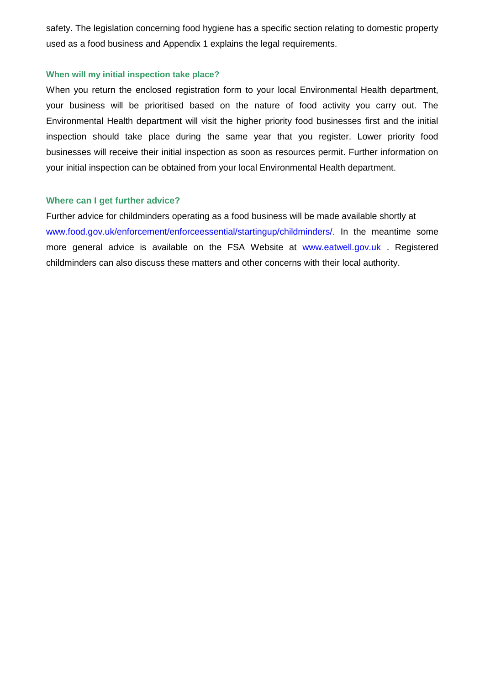safety. The legislation concerning food hygiene has a specific section relating to domestic property used as a food business and Appendix 1 explains the legal requirements.

# **When will my initial inspection take place?**

When you return the enclosed registration form to your local Environmental Health department, your business will be prioritised based on the nature of food activity you carry out. The Environmental Health department will visit the higher priority food businesses first and the initial inspection should take place during the same year that you register. Lower priority food businesses will receive their initial inspection as soon as resources permit. Further information on your initial inspection can be obtained from your local Environmental Health department.

# **Where can I get further advice?**

Further advice for childminders operating as a food business will be made available shortly at www.food.gov.uk/enforcement/enforceessential/startingup/childminders/. In the meantime some more general advice is available on the FSA Website at www.eatwell.gov.uk . Registered childminders can also discuss these matters and other concerns with their local authority.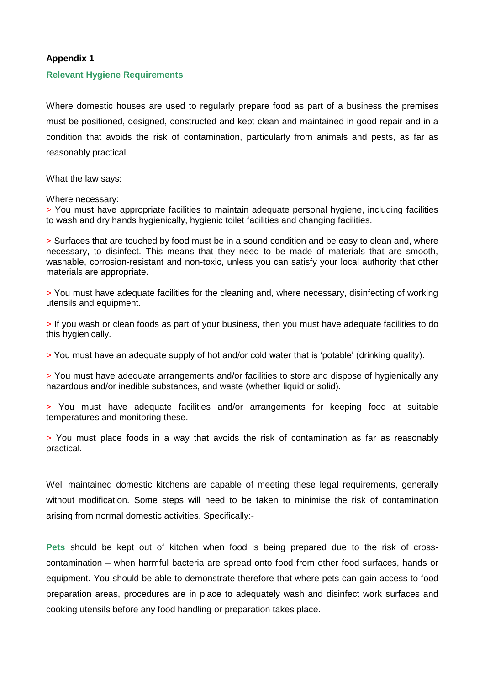### **Appendix 1**

#### **Relevant Hygiene Requirements**

Where domestic houses are used to regularly prepare food as part of a business the premises must be positioned, designed, constructed and kept clean and maintained in good repair and in a condition that avoids the risk of contamination, particularly from animals and pests, as far as reasonably practical.

What the law says:

Where necessary:

> You must have appropriate facilities to maintain adequate personal hygiene, including facilities to wash and dry hands hygienically, hygienic toilet facilities and changing facilities.

> Surfaces that are touched by food must be in a sound condition and be easy to clean and, where necessary, to disinfect. This means that they need to be made of materials that are smooth, washable, corrosion-resistant and non-toxic, unless you can satisfy your local authority that other materials are appropriate.

> You must have adequate facilities for the cleaning and, where necessary, disinfecting of working utensils and equipment.

> If you wash or clean foods as part of your business, then you must have adequate facilities to do this hygienically.

> You must have an adequate supply of hot and/or cold water that is "potable" (drinking quality).

> You must have adequate arrangements and/or facilities to store and dispose of hygienically any hazardous and/or inedible substances, and waste (whether liquid or solid).

> You must have adequate facilities and/or arrangements for keeping food at suitable temperatures and monitoring these.

> You must place foods in a way that avoids the risk of contamination as far as reasonably practical.

Well maintained domestic kitchens are capable of meeting these legal requirements, generally without modification. Some steps will need to be taken to minimise the risk of contamination arising from normal domestic activities. Specifically:-

**Pets** should be kept out of kitchen when food is being prepared due to the risk of crosscontamination – when harmful bacteria are spread onto food from other food surfaces, hands or equipment. You should be able to demonstrate therefore that where pets can gain access to food preparation areas, procedures are in place to adequately wash and disinfect work surfaces and cooking utensils before any food handling or preparation takes place.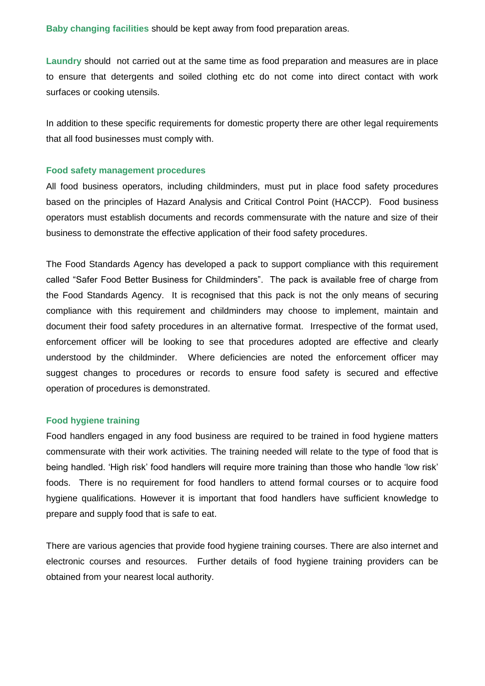**Baby changing facilities** should be kept away from food preparation areas.

**Laundry** should not carried out at the same time as food preparation and measures are in place to ensure that detergents and soiled clothing etc do not come into direct contact with work surfaces or cooking utensils.

In addition to these specific requirements for domestic property there are other legal requirements that all food businesses must comply with.

## **Food safety management procedures**

All food business operators, including childminders, must put in place food safety procedures based on the principles of Hazard Analysis and Critical Control Point (HACCP). Food business operators must establish documents and records commensurate with the nature and size of their business to demonstrate the effective application of their food safety procedures.

The Food Standards Agency has developed a pack to support compliance with this requirement called "Safer Food Better Business for Childminders". The pack is available free of charge from the Food Standards Agency. It is recognised that this pack is not the only means of securing compliance with this requirement and childminders may choose to implement, maintain and document their food safety procedures in an alternative format. Irrespective of the format used, enforcement officer will be looking to see that procedures adopted are effective and clearly understood by the childminder. Where deficiencies are noted the enforcement officer may suggest changes to procedures or records to ensure food safety is secured and effective operation of procedures is demonstrated.

## **Food hygiene training**

Food handlers engaged in any food business are required to be trained in food hygiene matters commensurate with their work activities. The training needed will relate to the type of food that is being handled. 'High risk' food handlers will require more training than those who handle 'low risk' foods. There is no requirement for food handlers to attend formal courses or to acquire food hygiene qualifications. However it is important that food handlers have sufficient knowledge to prepare and supply food that is safe to eat.

There are various agencies that provide food hygiene training courses. There are also internet and electronic courses and resources. Further details of food hygiene training providers can be obtained from your nearest local authority.